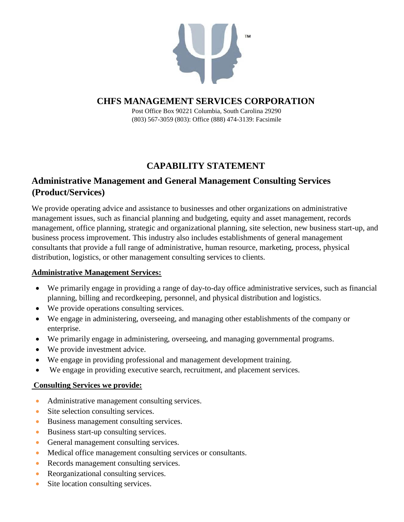

Post Office Box 90221 Columbia, South Carolina 29290 (803) 567-3059 (803): Office (888) 474-3139: Facsimile

# **CAPABILITY STATEMENT**

# **Administrative Management and General Management Consulting Services (Product/Services)**

We provide operating advice and assistance to businesses and other organizations on administrative management issues, such as financial planning and budgeting, equity and asset management, records management, office planning, strategic and organizational planning, site selection, new business start-up, and business process improvement. This industry also includes establishments of general management consultants that provide a full range of administrative, human resource, marketing, process, physical distribution, logistics, or other management consulting services to clients.

### **Administrative Management Services:**

- We primarily engage in providing a range of day-to-day office administrative services, such as financial planning, billing and recordkeeping, personnel, and physical distribution and logistics.
- We provide operations consulting services.
- We engage in administering, overseeing, and managing other establishments of the company or enterprise.
- We primarily engage in administering, overseeing, and managing governmental programs.
- We provide investment advice.
- We engage in providing professional and management development training.
- We engage in providing executive search, recruitment, and placement services.

### **Consulting Services we provide:**

- Administrative management consulting services.
- Site selection consulting services.
- Business management consulting services.
- Business start-up consulting services.
- General management consulting services.
- Medical office management consulting services or consultants.
- Records management consulting services.
- Reorganizational consulting services.
- Site location consulting services.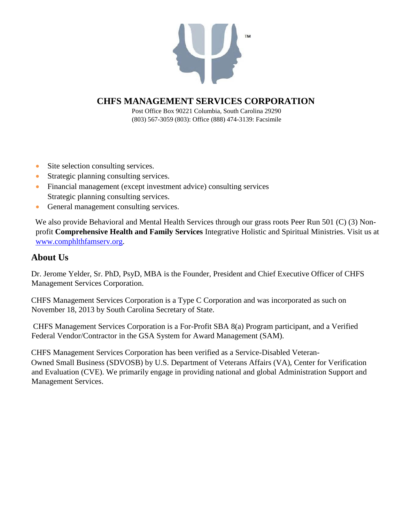

Post Office Box 90221 Columbia, South Carolina 29290 (803) 567-3059 (803): Office (888) 474-3139: Facsimile

- Site selection consulting services.
- Strategic planning consulting services.
- Financial management (except investment advice) consulting services Strategic planning consulting services.
- General management consulting services.

We also provide Behavioral and Mental Health Services through our grass roots Peer Run 501 (C) (3) Nonprofit **Comprehensive Health and Family Services** Integrative Holistic and Spiritual Ministries. Visit us at www.comphlthfamserv.org.

### **About Us**

Dr. Jerome Yelder, Sr. PhD, PsyD, MBA is the Founder, President and Chief Executive Officer of CHFS Management Services Corporation.

CHFS Management Services Corporation is a Type C Corporation and was incorporated as such on November 18, 2013 by South Carolina Secretary of State.

CHFS Management Services Corporation is a For-Profit SBA 8(a) Program participant, and a Verified Federal Vendor/Contractor in the GSA System for Award Management (SAM).

CHFS Management Services Corporation has been verified as a Service-Disabled Veteran-Owned Small Business (SDVOSB) by U.S. Department of Veterans Affairs (VA), Center for Verification and Evaluation (CVE). We primarily engage in providing national and global Administration Support and Management Services.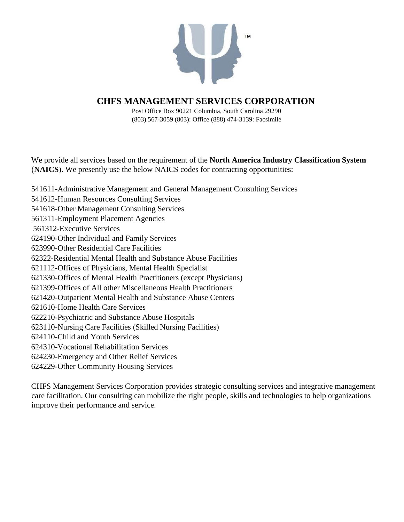

Post Office Box 90221 Columbia, South Carolina 29290 (803) 567-3059 (803): Office (888) 474-3139: Facsimile

We provide all services based on the requirement of the **North America Industry Classification System** (**NAICS**). We presently use the below NAICS codes for contracting opportunities:

541611-Administrative Management and General Management Consulting Services 541612-Human Resources Consulting Services 541618-Other Management Consulting Services 561311-Employment Placement Agencies 561312-Executive Services 624190-Other Individual and Family Services 623990-Other Residential Care Facilities 62322-Residential Mental Health and Substance Abuse Facilities 621112-Offices of Physicians, Mental Health Specialist 621330-Offices of Mental Health Practitioners (except Physicians) 621399-Offices of All other Miscellaneous Health Practitioners 621420-Outpatient Mental Health and Substance Abuse Centers 621610-Home Health Care Services 622210-Psychiatric and Substance Abuse Hospitals 623110-Nursing Care Facilities (Skilled Nursing Facilities) 624110-Child and Youth Services 624310-Vocational Rehabilitation Services 624230-Emergency and Other Relief Services 624229-Other Community Housing Services

CHFS Management Services Corporation provides strategic consulting services and integrative management care facilitation. Our consulting can mobilize the right people, skills and technologies to help organizations improve their performance and service.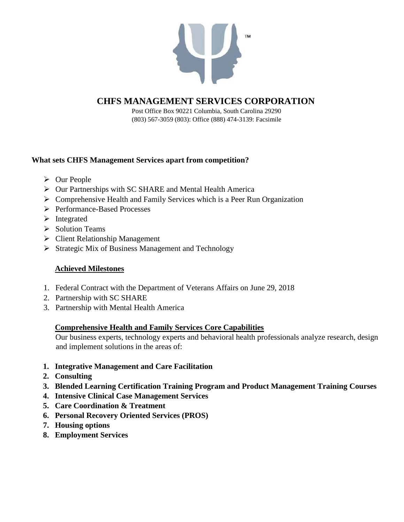

Post Office Box 90221 Columbia, South Carolina 29290 (803) 567-3059 (803): Office (888) 474-3139: Facsimile

### **What sets CHFS Management Services apart from competition?**

- $\triangleright$  Our People
- $\triangleright$  Our Partnerships with SC SHARE and Mental Health America
- $\triangleright$  Comprehensive Health and Family Services which is a Peer Run Organization
- Performance-Based Processes
- $\triangleright$  Integrated
- $\triangleright$  Solution Teams
- $\triangleright$  Client Relationship Management
- $\triangleright$  Strategic Mix of Business Management and Technology

### **Achieved Milestones**

- 1. Federal Contract with the Department of Veterans Affairs on June 29, 2018
- 2. Partnership with SC SHARE
- 3. Partnership with Mental Health America

### **Comprehensive Health and Family Services Core Capabilities**

Our business experts, technology experts and behavioral health professionals analyze research, design and implement solutions in the areas of:

- **1. Integrative Management and Care Facilitation**
- **2. Consulting**
- **3. Blended Learning Certification Training Program and Product Management Training Courses**
- **4. Intensive Clinical Case Management Services**
- **5. Care Coordination & Treatment**
- **6. Personal Recovery Oriented Services (PROS)**
- **7. Housing options**
- **8. Employment Services**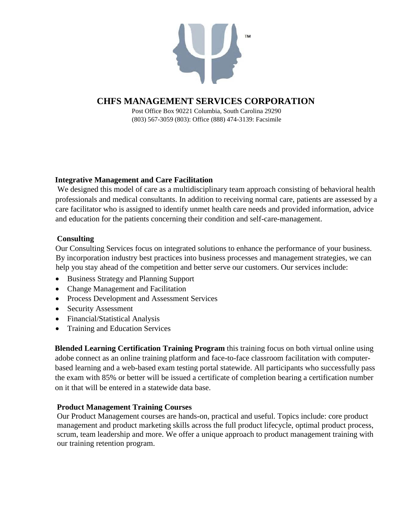

Post Office Box 90221 Columbia, South Carolina 29290 (803) 567-3059 (803): Office (888) 474-3139: Facsimile

#### **Integrative Management and Care Facilitation**

We designed this model of care as a multidisciplinary team approach consisting of behavioral health professionals and medical consultants. In addition to receiving normal care, patients are assessed by a care facilitator who is assigned to identify unmet health care needs and provided information, advice and education for the patients concerning their condition and self-care-management.

### **Consulting**

Our Consulting Services focus on integrated solutions to enhance the performance of your business. By incorporation industry best practices into business processes and management strategies, we can help you stay ahead of the competition and better serve our customers. Our services include:

- Business Strategy and Planning Support
- Change Management and Facilitation
- Process Development and Assessment Services
- Security Assessment
- Financial/Statistical Analysis
- Training and Education Services

**Blended Learning Certification Training Program** this training focus on both virtual online using adobe connect as an online training platform and face-to-face classroom facilitation with computerbased learning and a web-based exam testing portal statewide. All participants who successfully pass the exam with 85% or better will be issued a certificate of completion bearing a certification number on it that will be entered in a statewide data base.

### **Product Management Training Courses**

Our Product Management courses are hands-on, practical and useful. Topics include: core product management and product marketing skills across the full product lifecycle, optimal product process, scrum, team leadership and more. We offer a unique approach to product management training with our training retention program.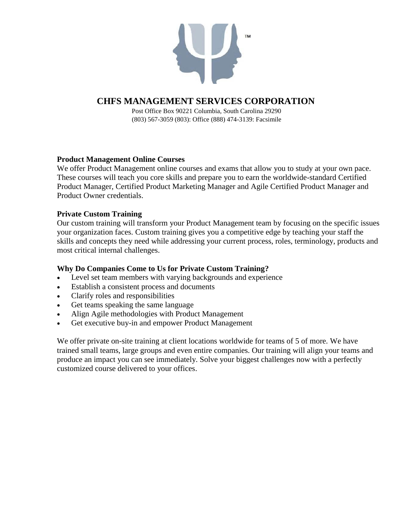

Post Office Box 90221 Columbia, South Carolina 29290 (803) 567-3059 (803): Office (888) 474-3139: Facsimile

### **Product Management Online Courses**

We offer Product Management online courses and exams that allow you to study at your own pace. These courses will teach you core skills and prepare you to earn the worldwide-standard Certified Product Manager, Certified Product Marketing Manager and Agile Certified Product Manager and Product Owner credentials.

#### **Private Custom Training**

Our custom training will transform your Product Management team by focusing on the specific issues your organization faces. Custom training gives you a competitive edge by teaching your staff the skills and concepts they need while addressing your current process, roles, terminology, products and most critical internal challenges.

### **Why Do Companies Come to Us for Private Custom Training?**

- Level set team members with varying backgrounds and experience
- Establish a consistent process and documents
- Clarify roles and responsibilities
- Get teams speaking the same language
- Align Agile methodologies with Product Management
- Get executive buy-in and empower Product Management

We offer private on-site training at client locations worldwide for teams of 5 of more. We have trained small teams, large groups and even entire companies. Our training will align your teams and produce an impact you can see immediately. Solve your biggest challenges now with a perfectly customized course delivered to your offices.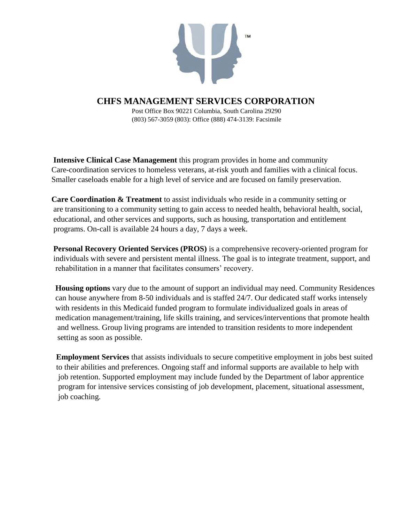

Post Office Box 90221 Columbia, South Carolina 29290 (803) 567-3059 (803): Office (888) 474-3139: Facsimile

 **Intensive Clinical Case Management** this program provides in home and community Care-coordination services to homeless veterans, at-risk youth and families with a clinical focus. Smaller caseloads enable for a high level of service and are focused on family preservation.

 **Care Coordination & Treatment** to assist individuals who reside in a community setting or are transitioning to a community setting to gain access to needed health, behavioral health, social, educational, and other services and supports, such as housing, transportation and entitlement programs. On-call is available 24 hours a day, 7 days a week.

 **Personal Recovery Oriented Services (PROS)** is a comprehensive recovery-oriented program for individuals with severe and persistent mental illness. The goal is to integrate treatment, support, and rehabilitation in a manner that facilitates consumers' recovery.

 **Housing options** vary due to the amount of support an individual may need. Community Residences can house anywhere from 8-50 individuals and is staffed 24/7. Our dedicated staff works intensely with residents in this Medicaid funded program to formulate individualized goals in areas of medication management/training, life skills training, and services/interventions that promote health and wellness. Group living programs are intended to transition residents to more independent setting as soon as possible.

 **Employment Services** that assists individuals to secure competitive employment in jobs best suited to their abilities and preferences. Ongoing staff and informal supports are available to help with job retention. Supported employment may include funded by the Department of labor apprentice program for intensive services consisting of job development, placement, situational assessment, job coaching.